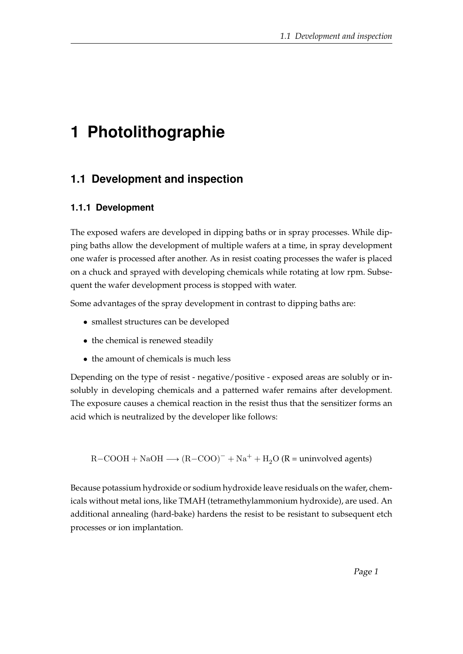# **1 Photolithographie**

## **1.1 Development and inspection**

#### **1.1.1 Development**

The exposed wafers are developed in dipping baths or in spray processes. While dipping baths allow the development of multiple wafers at a time, in spray development one wafer is processed after another. As in resist coating processes the wafer is placed on a chuck and sprayed with developing chemicals while rotating at low rpm. Subsequent the wafer development process is stopped with water.

Some advantages of the spray development in contrast to dipping baths are:

- smallest structures can be developed
- the chemical is renewed steadily
- the amount of chemicals is much less

Depending on the type of resist - negative/positive - exposed areas are solubly or insolubly in developing chemicals and a patterned wafer remains after development. The exposure causes a chemical reaction in the resist thus that the sensitizer forms an acid which is neutralized by the developer like follows:

 $R-COOH + NaOH \longrightarrow (R-COO)^- + Na^+ + H_2O (R =$  uninvolved agents)

Because potassium hydroxide or sodium hydroxide leave residuals on the wafer, chemicals without metal ions, like TMAH (tetramethylammonium hydroxide), are used. An additional annealing (hard-bake) hardens the resist to be resistant to subsequent etch processes or ion implantation.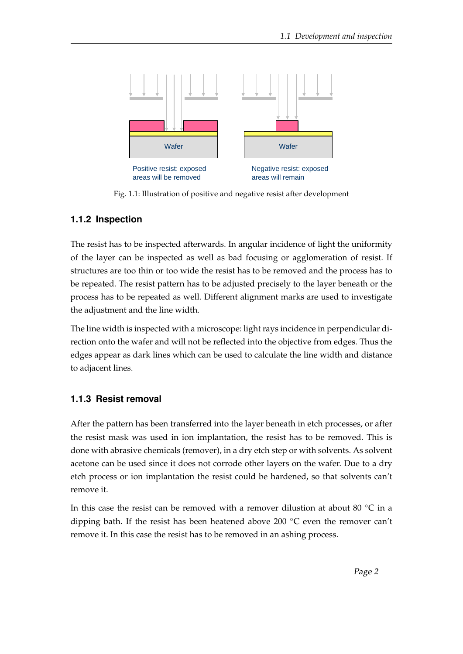

Fig. 1.1: Illustration of positive and negative resist after development

## **1.1.2 Inspection**

The resist has to be inspected afterwards. In angular incidence of light the uniformity of the layer can be inspected as well as bad focusing or agglomeration of resist. If structures are too thin or too wide the resist has to be removed and the process has to be repeated. The resist pattern has to be adjusted precisely to the layer beneath or the process has to be repeated as well. Different alignment marks are used to investigate the adjustment and the line width.

The line width is inspected with a microscope: light rays incidence in perpendicular direction onto the wafer and will not be reflected into the objective from edges. Thus the edges appear as dark lines which can be used to calculate the line width and distance to adjacent lines.

## **1.1.3 Resist removal**

After the pattern has been transferred into the layer beneath in etch processes, or after the resist mask was used in ion implantation, the resist has to be removed. This is done with abrasive chemicals (remover), in a dry etch step or with solvents. As solvent acetone can be used since it does not corrode other layers on the wafer. Due to a dry etch process or ion implantation the resist could be hardened, so that solvents can't remove it.

In this case the resist can be removed with a remover dilustion at about 80  $\degree$ C in a dipping bath. If the resist has been heatened above 200 ◦C even the remover can't remove it. In this case the resist has to be removed in an ashing process.